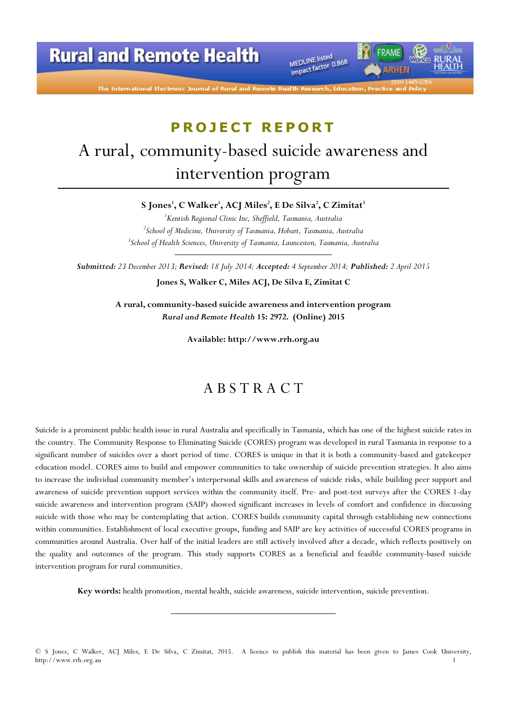**Rural and Remote Health** 

MEDLINE listed MEDLINE listed<br>Impact factor 0.868

*IRHEN* 

The International Electronic Journal of Rural and Remot

# PROJECT REPORT A rural, community-based suicide awareness and intervention program

S Jones', C Walker', ACJ Miles<sup>2</sup>, E De Silva<sup>2</sup>, C Zimitat<sup>3</sup>

<sup>1</sup>Kentish Regional Clinic Inc, Sheffield, Tasmania, Australia  ${}^{2}$ School of Medicine, University of Tasmania, Hobart, Tasmania, Australia <sup>3</sup>School of Health Sciences, University of Tasmania, Launceston, Tasmania, Australia

Submitted: 23 December 2013; Revised: 18 July 2014; Accepted: 4 September 2014; Published: 2 April 2015 Jones S, Walker C, Miles ACJ, De Silva E, Zimitat C

> A rural, community-based suicide awareness and intervention program Rural and Remote Health 15: 2972. (Online) 2015

> > Available: http://www.rrh.org.au

## A B S T R A C T

Suicide is a prominent public health issue in rural Australia and specifically in Tasmania, which has one of the highest suicide rates in the country. The Community Response to Eliminating Suicide (CORES) program was developed in rural Tasmania in response to a significant number of suicides over a short period of time. CORES is unique in that it is both a community-based and gatekeeper education model. CORES aims to build and empower communities to take ownership of suicide prevention strategies. It also aims to increase the individual community member's interpersonal skills and awareness of suicide risks, while building peer support and awareness of suicide prevention support services within the community itself. Pre- and post-test surveys after the CORES 1-day suicide awareness and intervention program (SAIP) showed significant increases in levels of comfort and confidence in discussing suicide with those who may be contemplating that action. CORES builds community capital through establishing new connections within communities. Establishment of local executive groups, funding and SAIP are key activities of successful CORES programs in communities around Australia. Over half of the initial leaders are still actively involved after a decade, which reflects positively on the quality and outcomes of the program. This study supports CORES as a beneficial and feasible community-based suicide intervention program for rural communities.

Key words: health promotion, mental health, suicide awareness, suicide intervention, suicide prevention.

<sup>©</sup> S Jones, C Walker, ACJ Miles, E De Silva, C Zimitat, 2015. A licence to publish this material has been given to James Cook University, http://www.rrh.org.au 1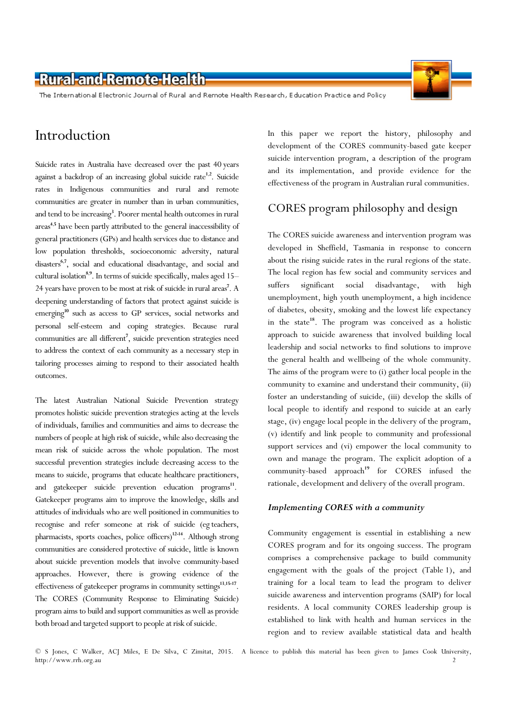The International Electronic Journal of Rural and Remote Health Research, Education Practice and Policy

## Introduction

Suicide rates in Australia have decreased over the past 40 years against a backdrop of an increasing global suicide rate<sup>1,2</sup>. Suicide rates in Indigenous communities and rural and remote communities are greater in number than in urban communities, and tend to be increasing<sup>3</sup>. Poorer mental health outcomes in rural areas<sup>4,5</sup> have been partly attributed to the general inaccessibility of general practitioners (GPs) and health services due to distance and low population thresholds, socioeconomic adversity, natural disasters<sup>6,7</sup>, social and educational disadvantage, and social and cultural isolation<sup>8,9</sup>. In terms of suicide specifically, males aged 15-24 years have proven to be most at risk of suicide in rural areas<sup>7</sup>. A deepening understanding of factors that protect against suicide is emerging<sup>10</sup> such as access to GP services, social networks and personal self-esteem and coping strategies. Because rural communities are all different<sup>7</sup>, suicide prevention strategies need to address the context of each community as a necessary step in tailoring processes aiming to respond to their associated health outcomes.

The latest Australian National Suicide Prevention strategy promotes holistic suicide prevention strategies acting at the levels of individuals, families and communities and aims to decrease the numbers of people at high risk of suicide, while also decreasing the mean risk of suicide across the whole population. The most successful prevention strategies include decreasing access to the means to suicide, programs that educate healthcare practitioners, and gatekeeper suicide prevention education programs<sup>11</sup>. Gatekeeper programs aim to improve the knowledge, skills and attitudes of individuals who are well positioned in communities to recognise and refer someone at risk of suicide (eg teachers, pharmacists, sports coaches, police officers)<sup>12-14</sup>. Although strong communities are considered protective of suicide, little is known about suicide prevention models that involve community-based approaches. However, there is growing evidence of the effectiveness of gatekeeper programs in community settings<sup>13,15-17</sup>. The CORES (Community Response to Eliminating Suicide) program aims to build and support communities as well as provide both broad and targeted support to people at risk of suicide.

In this paper we report the history, philosophy and development of the CORES community-based gate keeper suicide intervention program, a description of the program and its implementation, and provide evidence for the effectiveness of the program in Australian rural communities.

### CORES program philosophy and design

The CORES suicide awareness and intervention program was developed in Sheffield, Tasmania in response to concern about the rising suicide rates in the rural regions of the state. The local region has few social and community services and suffers significant social disadvantage, with high unemployment, high youth unemployment, a high incidence of diabetes, obesity, smoking and the lowest life expectancy in the state<sup>18</sup>. The program was conceived as a holistic approach to suicide awareness that involved building local leadership and social networks to find solutions to improve the general health and wellbeing of the whole community. The aims of the program were to (i) gather local people in the community to examine and understand their community, (ii) foster an understanding of suicide, (iii) develop the skills of local people to identify and respond to suicide at an early stage, (iv) engage local people in the delivery of the program, (v) identify and link people to community and professional support services and (vi) empower the local community to own and manage the program. The explicit adoption of a community-based approach<sup>19</sup> for CORES infused the rationale, development and delivery of the overall program.

#### Implementing CORES with a community

Community engagement is essential in establishing a new CORES program and for its ongoing success. The program comprises a comprehensive package to build community engagement with the goals of the project (Table 1), and training for a local team to lead the program to deliver suicide awareness and intervention programs (SAIP) for local residents. A local community CORES leadership group is established to link with health and human services in the region and to review available statistical data and health

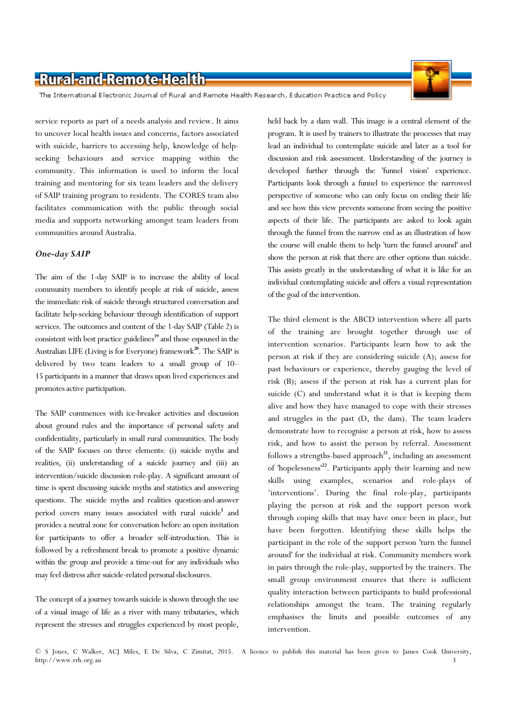The International Electronic Journal of Rural and Remote Health Research, Education Practice and Policy

service reports as part of a needs analysis and review. It aims to uncover local health issues and concerns, factors associated with suicide, barriers to accessing help, knowledge of helpseeking behaviours and service mapping within the community. This information is used to inform the local training and mentoring for six team leaders and the delivery of SAIP training program to residents. The CORES team also facilitates communication with the public through social media and supports networking amongst team leaders from communities around Australia.

#### One-day SAIP

The aim of the 1-day SAIP is to increase the ability of local community members to identify people at risk of suicide, assess the immediate risk of suicide through structured conversation and facilitate help-seeking behaviour through identification of support services. The outcomes and content of the 1-day SAIP (Table 2) is consistent with best practice guidelines<sup>19</sup> and those espoused in the Australian LIFE (Living is for Everyone) framework<sup>20</sup>. The SAIP is delivered by two team leaders to a small group of 10– 15 participants in a manner that draws upon lived experiences and promotes active participation.

The SAIP commences with ice-breaker activities and discussion about ground rules and the importance of personal safety and confidentiality, particularly in small rural communities. The body of the SAIP focuses on three elements: (i) suicide myths and realities, (ii) understanding of a suicide journey and (iii) an intervention/suicide discussion role-play. A significant amount of time is spent discussing suicide myths and statistics and answering questions. The suicide myths and realities question-and-answer period covers many issues associated with rural suicide<sup>5</sup> and provides a neutral zone for conversation before an open invitation for participants to offer a broader self-introduction. This is followed by a refreshment break to promote a positive dynamic within the group and provide a time-out for any individuals who may feel distress after suicide-related personal disclosures.

The concept of a journey towards suicide is shown through the use of a visual image of life as a river with many tributaries, which represent the stresses and struggles experienced by most people, held back by a dam wall. This image is a central element of the program. It is used by trainers to illustrate the processes that may lead an individual to contemplate suicide and later as a tool for discussion and risk assessment. Understanding of the journey is developed further through the 'funnel vision' experience. Participants look through a funnel to experience the narrowed perspective of someone who can only focus on ending their life and see how this view prevents someone from seeing the positive aspects of their life. The participants are asked to look again through the funnel from the narrow end as an illustration of how the course will enable them to help 'turn the funnel around' and show the person at risk that there are other options than suicide. This assists greatly in the understanding of what it is like for an individual contemplating suicide and offers a visual representation of the goal of the intervention.

The third element is the ABCD intervention where all parts of the training are brought together through use of intervention scenarios. Participants learn how to ask the person at risk if they are considering suicide (A); assess for past behaviours or experience, thereby gauging the level of risk (B); assess if the person at risk has a current plan for suicide (C) and understand what it is that is keeping them alive and how they have managed to cope with their stresses and struggles in the past (D, the dam). The team leaders demonstrate how to recognise a person at risk, how to assess risk, and how to assist the person by referral. Assessment follows a strengths-based approach<sup>21</sup>, including an assessment of 'hopelessness'<sup>22</sup>. Participants apply their learning and new skills using examples, scenarios and role-plays of 'interventions'. During the final role-play, participants playing the person at risk and the support person work through coping skills that may have once been in place, but have been forgotten. Identifying these skills helps the participant in the role of the support person 'turn the funnel around' for the individual at risk. Community members work in pairs through the role-play, supported by the trainers. The small group environment ensures that there is sufficient quality interaction between participants to build professional relationships amongst the team. The training regularly emphasises the limits and possible outcomes of any intervention.



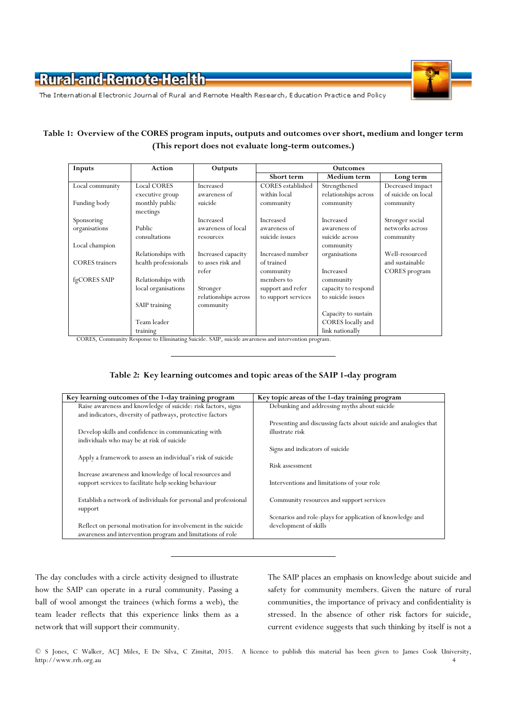



The International Electronic Journal of Rural and Remote Health Research, Education Practice and Policy

### Table 1: Overview of the CORES program inputs, outputs and outcomes over short, medium and longer term (This report does not evaluate long-term outcomes.)

| Inputs                | Action               | Outputs              | <b>Outcomes</b>          |                      |                     |  |  |  |
|-----------------------|----------------------|----------------------|--------------------------|----------------------|---------------------|--|--|--|
|                       |                      |                      | Short term               | Medium term          | Long term           |  |  |  |
| Local community       | <b>Local CORES</b>   | Increased            | <b>CORES</b> established | Strengthened         | Decreased impact    |  |  |  |
|                       | executive group      | awareness of         | within local             | relationships across | of suicide on local |  |  |  |
| Funding body          | monthly public       | suicide              | community                | community            | community           |  |  |  |
|                       | meetings             |                      |                          |                      |                     |  |  |  |
| Sponsoring            |                      | Increased            | Increased                | Increased            | Stronger social     |  |  |  |
| organisations         | Public               | awareness of local   | awareness of             | awareness of         | networks across     |  |  |  |
|                       | consultations        | resources            | suicide issues           | suicide across       | community           |  |  |  |
| Local champion        |                      |                      |                          | community            |                     |  |  |  |
|                       | Relationships with   | Increased capacity   | Increased number         | organisations        | Well-resourced      |  |  |  |
| <b>CORES</b> trainers | health professionals | to asses risk and    | of trained               |                      | and sustainable     |  |  |  |
|                       |                      | refer                | community                | Increased            | CORES program       |  |  |  |
| fgCORES SAIP          | Relationships with   |                      | members to               | community            |                     |  |  |  |
|                       | local organisations  | Stronger             | support and refer        | capacity to respond  |                     |  |  |  |
|                       |                      | relationships across | to support services      | to suicide issues    |                     |  |  |  |
|                       | SAIP training        | community            |                          |                      |                     |  |  |  |
|                       |                      |                      |                          | Capacity to sustain  |                     |  |  |  |
|                       | Team leader          |                      |                          | CORES locally and    |                     |  |  |  |
|                       | training             |                      |                          | link nationally      |                     |  |  |  |

CORES, Community Response to Eliminating Suicide. SAIP, suicide awareness and intervention program.

#### Table 2: Key learning outcomes and topic areas of the SAIP 1-day program

| Key learning outcomes of the 1-day training program              | Key topic areas of the 1-day training program                    |
|------------------------------------------------------------------|------------------------------------------------------------------|
| Raise awareness and knowledge of suicide: risk factors, signs    | Debunking and addressing myths about suicide                     |
| and indicators, diversity of pathways, protective factors        |                                                                  |
|                                                                  | Presenting and discussing facts about suicide and analogies that |
| Develop skills and confidence in communicating with              | illustrate risk                                                  |
| individuals who may be at risk of suicide                        |                                                                  |
|                                                                  | Signs and indicators of suicide                                  |
| Apply a framework to assess an individual's risk of suicide      |                                                                  |
|                                                                  | Risk assessment                                                  |
| Increase awareness and knowledge of local resources and          |                                                                  |
| support services to facilitate help seeking behaviour            | Interventions and limitations of your role                       |
|                                                                  |                                                                  |
| Establish a network of individuals for personal and professional | Community resources and support services                         |
| support                                                          |                                                                  |
|                                                                  | Scenarios and role-plays for application of knowledge and        |
| Reflect on personal motivation for involvement in the suicide    | development of skills                                            |
| awareness and intervention program and limitations of role       |                                                                  |

The day concludes with a circle activity designed to illustrate how the SAIP can operate in a rural community. Passing a ball of wool amongst the trainees (which forms a web), the team leader reflects that this experience links them as a network that will support their community.

The SAIP places an emphasis on knowledge about suicide and safety for community members. Given the nature of rural communities, the importance of privacy and confidentiality is stressed. In the absence of other risk factors for suicide, current evidence suggests that such thinking by itself is not a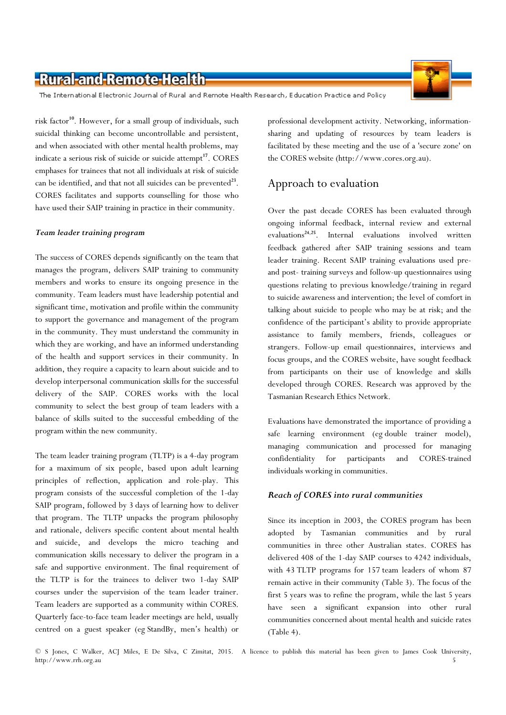The International Electronic Journal of Rural and Remote Health Research, Education Practice and Policy

risk factor<sup>10</sup>. However, for a small group of individuals, such suicidal thinking can become uncontrollable and persistent, and when associated with other mental health problems, may indicate a serious risk of suicide or suicide attempt<sup>17</sup>. CORES emphases for trainees that not all individuals at risk of suicide can be identified, and that not all suicides can be prevented<sup>23</sup>. CORES facilitates and supports counselling for those who have used their SAIP training in practice in their community.

#### Team leader training program

The success of CORES depends significantly on the team that manages the program, delivers SAIP training to community members and works to ensure its ongoing presence in the community. Team leaders must have leadership potential and significant time, motivation and profile within the community to support the governance and management of the program in the community. They must understand the community in which they are working, and have an informed understanding of the health and support services in their community. In addition, they require a capacity to learn about suicide and to develop interpersonal communication skills for the successful delivery of the SAIP. CORES works with the local community to select the best group of team leaders with a balance of skills suited to the successful embedding of the program within the new community.

The team leader training program (TLTP) is a 4-day program for a maximum of six people, based upon adult learning principles of reflection, application and role-play. This program consists of the successful completion of the 1-day SAIP program, followed by 3 days of learning how to deliver that program. The TLTP unpacks the program philosophy and rationale, delivers specific content about mental health and suicide, and develops the micro teaching and communication skills necessary to deliver the program in a safe and supportive environment. The final requirement of the TLTP is for the trainees to deliver two 1-day SAIP courses under the supervision of the team leader trainer. Team leaders are supported as a community within CORES. Quarterly face-to-face team leader meetings are held, usually centred on a guest speaker (eg StandBy, men's health) or

professional development activity. Networking, informationsharing and updating of resources by team leaders is facilitated by these meeting and the use of a 'secure zone' on the CORES website (http://www.cores.org.au).

### Approach to evaluation

Over the past decade CORES has been evaluated through ongoing informal feedback, internal review and external evaluations<sup>24,25</sup>. Internal evaluations involved written feedback gathered after SAIP training sessions and team leader training. Recent SAIP training evaluations used preand post- training surveys and follow-up questionnaires using questions relating to previous knowledge/training in regard to suicide awareness and intervention; the level of comfort in talking about suicide to people who may be at risk; and the confidence of the participant's ability to provide appropriate assistance to family members, friends, colleagues or strangers. Follow-up email questionnaires, interviews and focus groups, and the CORES website, have sought feedback from participants on their use of knowledge and skills developed through CORES. Research was approved by the Tasmanian Research Ethics Network.

Evaluations have demonstrated the importance of providing a safe learning environment (eg double trainer model), managing communication and processed for managing confidentiality for participants and CORES-trained individuals working in communities.

#### Reach of CORES into rural communities

Since its inception in 2003, the CORES program has been adopted by Tasmanian communities and by rural communities in three other Australian states. CORES has delivered 408 of the 1-day SAIP courses to 4242 individuals, with 43 TLTP programs for 157 team leaders of whom 87 remain active in their community (Table 3). The focus of the first 5 years was to refine the program, while the last 5 years have seen a significant expansion into other rural communities concerned about mental health and suicide rates (Table 4).

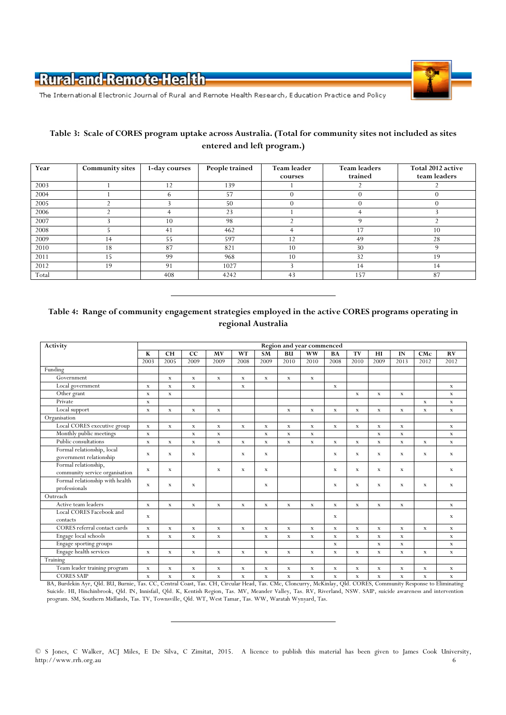

The International Electronic Journal of Rural and Remote Health Research, Education Practice and Policy

### Table 3: Scale of CORES program uptake across Australia. (Total for community sites not included as sites entered and left program.)

| Year  | <b>Community sites</b> | 1-day courses | People trained | Team leader | <b>Team leaders</b> | Total 2012 active |  |
|-------|------------------------|---------------|----------------|-------------|---------------------|-------------------|--|
|       |                        |               |                | courses     | trained             | team leaders      |  |
| 2003  |                        | 12            | 139            |             |                     |                   |  |
| 2004  |                        | h             | 57             |             |                     |                   |  |
| 2005  |                        |               | 50             |             | u                   |                   |  |
| 2006  |                        |               | 23             |             |                     |                   |  |
| 2007  |                        | 10            | 98             |             | $\Omega$            |                   |  |
| 2008  |                        | 41            | 462            |             | 17                  | 10                |  |
| 2009  | 14                     | 55            | 597            | 12          | 49                  | 28                |  |
| 2010  | 18                     | 87            | 821            | 10          | 30                  | $\Omega$          |  |
| 2011  | 15                     | 99            | 968            | 10          | 32                  | 19                |  |
| 2012  | 19                     | 91            | 1027           |             | 14                  | 14                |  |
| Total |                        | 408           | 4242           | 43          | 157                 | 87                |  |

### Table 4: Range of community engagement strategies employed in the active CORES programs operating in regional Australia

| Activity                        | Region and year commenced |             |              |             |             |             |             |             |             |              |              |             |             |              |
|---------------------------------|---------------------------|-------------|--------------|-------------|-------------|-------------|-------------|-------------|-------------|--------------|--------------|-------------|-------------|--------------|
|                                 | K                         | <b>CH</b>   | CC           | MV          | <b>WT</b>   | <b>SM</b>   | BU          | <b>WW</b>   | BA          | TV           | HI           | IN          | CMc         | <b>RV</b>    |
|                                 | 2003                      | 2005        | 2009         | 2009        | 2008        | 2009        | 2010        | 2010        | 2008        | 2010         | 2009         | 2013        | 2012        | 2012         |
| Funding                         |                           |             |              |             |             |             |             |             |             |              |              |             |             |              |
| Government                      |                           | $\mathbf x$ | $\mathbf{x}$ | X           | $\mathbf x$ | $\mathbf x$ | $\mathbf x$ | $\mathbf x$ |             |              |              |             |             |              |
| Local government                | x                         | $\mathbf x$ | $\mathbf x$  |             | $\mathbf x$ |             |             |             | $\mathbf x$ |              |              |             |             | $\mathbf x$  |
| Other grant                     | $\mathbf x$               | $\mathbf x$ |              |             |             |             |             |             |             | $\mathbf{x}$ | $\mathbf x$  | $\mathbf x$ |             | $\mathbf{x}$ |
| Private                         | x                         |             |              |             |             |             |             |             |             |              |              |             | $\mathbf x$ | $\mathbf x$  |
| Local support                   | $\mathbf x$               | $\mathbf x$ | $\mathbf{x}$ | $\mathbf x$ |             |             | $\mathbf x$ | $\mathbf x$ | $\mathbf x$ | $\mathbf x$  | $\mathbf{x}$ | $\mathbf x$ | $\mathbf x$ | $\mathbf x$  |
| Organisation                    |                           |             |              |             |             |             |             |             |             |              |              |             |             |              |
| Local CORES executive group     | $\mathbf x$               | $\mathbf x$ | $\mathbf{x}$ | $\mathbf x$ | $\mathbf x$ | $\mathbf x$ | $\mathbf x$ | $\mathbf x$ | $\mathbf x$ | $\mathbf x$  | $\mathbf x$  | $\mathbf x$ |             | $\mathbf{x}$ |
| Monthly public meetings         | $\mathbf x$               |             | $\mathbf x$  | $\mathbf x$ |             | $\mathbf x$ | $\mathbf x$ | $\mathbf x$ |             |              | $\mathbf x$  | $\mathbf x$ |             | $\mathbf x$  |
| Public consultations            | $\mathbf{x}$              | X           | X            | $\mathbf x$ | $\mathbf x$ | $\mathbf x$ | $\mathbf x$ | $\mathbf x$ | $\mathbf x$ | $\mathbf x$  | $\mathbf x$  | $\mathbf x$ | $\mathbf x$ | $\mathbf x$  |
| Formal relationship, local      | $\mathbf x$               | $\mathbf x$ | X            |             | $\mathbf x$ | $\mathbf x$ |             |             | $\mathbf x$ | $\mathbf x$  | $\mathbf x$  | $\mathbf x$ | $\mathbf x$ | $\mathbf x$  |
| government relationship         |                           |             |              |             |             |             |             |             |             |              |              |             |             |              |
| Formal relationship,            | $\mathbf x$               | $\mathbf x$ |              | $\mathbf x$ | $\mathbf x$ | $\mathbf x$ |             |             | $\mathbf x$ | $\mathbf x$  | $\mathbf x$  | $\mathbf x$ |             | $\mathbf x$  |
| community service organisation  |                           |             |              |             |             |             |             |             |             |              |              |             |             |              |
| Formal relationship with health | $\mathbf x$               | $\mathbf x$ | X            |             |             | $\mathbf x$ |             |             | $\mathbf x$ | $\mathbf x$  | $\mathbf x$  | $\mathbf x$ | $\mathbf x$ | $\mathbf x$  |
| professionals                   |                           |             |              |             |             |             |             |             |             |              |              |             |             |              |
| Outreach                        |                           |             |              |             |             |             |             |             |             |              |              |             |             |              |
| Active team leaders             | $\mathbf x$               | $\mathbf x$ | X            | $\mathbf x$ | $\mathbf x$ | $\mathbf x$ | $\mathbf x$ | $\mathbf x$ | $\mathbf x$ | $\mathbf x$  | $\mathbf x$  | $\mathbf x$ |             | $\mathbf x$  |
| Local CORES Facebook and        | $\mathbf x$               |             |              |             |             |             |             |             | $\mathbf x$ |              |              |             |             | $\mathbf x$  |
| contacts                        |                           |             |              |             |             |             |             |             |             |              |              |             |             |              |
| CORES referral contact cards    | $\mathbf x$               | $\mathbf x$ | $\mathbf x$  | $\mathbf x$ | $\mathbf x$ | $\mathbf x$ | $\mathbf x$ | $\mathbf x$ | $\mathbf x$ | $\mathbf x$  | $\mathbf x$  | $\mathbf x$ | $\mathbf x$ | $\mathbf x$  |
| Engage local schools            | $\mathbf x$               | $\mathbf x$ | $\mathbf{x}$ | $\mathbf x$ |             | $\mathbf x$ | X           | $\mathbf x$ | $\mathbf x$ | $\mathbf x$  | $\mathbf x$  | $\mathbf x$ |             | $\mathbf{x}$ |
| Engage sporting groups          |                           |             |              |             |             |             |             |             | $\mathbf x$ |              | $\mathbf x$  | $\mathbf x$ |             | $\mathbf x$  |
| Engage health services          | $\mathbf x$               | $\mathbf x$ | $\mathbf x$  | $\mathbf x$ | $\mathbf x$ | $\mathbf x$ | $\mathbf x$ | $\mathbf x$ | $\mathbf x$ | $\mathbf x$  | x            | $\mathbf x$ | $\mathbf x$ | $\mathbf x$  |
| Training                        |                           |             |              |             |             |             |             |             |             |              |              |             |             |              |
| Team leader training program    | $\mathbf x$               | $\mathbf x$ | $\mathbf x$  | $\mathbf x$ | $\mathbf x$ | $\mathbf x$ | $\mathbf x$ | $\mathbf x$ | $\mathbf x$ | $\mathbf x$  | $\mathbf x$  | $\mathbf x$ | $\mathbf x$ | $\mathbf x$  |
| <b>CORES SAIP</b>               | x                         | $\mathbf x$ | x            | $\mathbf x$ | $\mathbf x$ | $\mathbf x$ | $\mathbf x$ | $\mathbf x$ | $\mathbf x$ | $\mathbf x$  | x            | x           | $\mathbf x$ | $\mathbf x$  |

BA, Burdekin Ayr, Qld. BU, Burnie, Tas. CC, Central Coast, Tas. CH, Circular Head, Tas. CMc, Cloncurry, McKinlay, Qld. CORES, Community Response to Eliminating Suicide. HI, Hinchinbrook, Qld. IN, Innisfail, Qld. K, Kentish Region, Tas. MV, Meander Valley, Tas. RV, Riverland, NSW. SAIP, suicide awareness and intervention program. SM, Southern Midlands, Tas. TV, Townsville, Qld. WT, West Tamar, Tas. WW, Waratah Wynyard, Tas.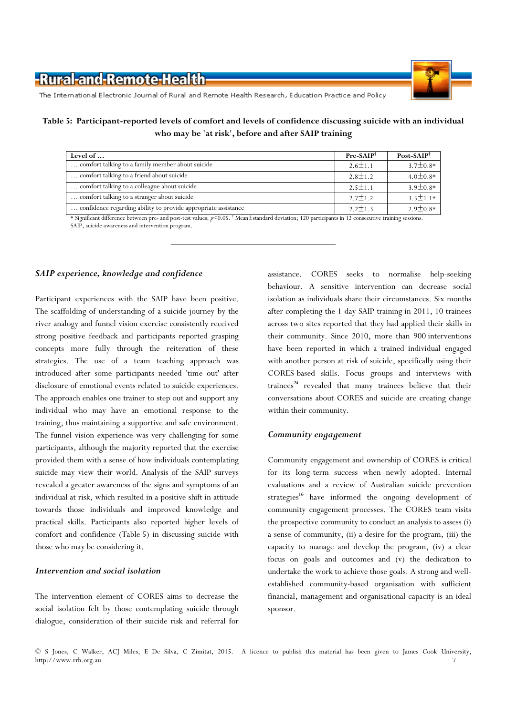

The International Electronic Journal of Rural and Remote Health Research, Education Practice and Policy

Table 5: Participant-reported levels of comfort and levels of confidence discussing suicide with an individual who may be 'at risk', before and after SAIP training

| Level of                                                       | $Pre-SAIP^{\dagger}$ | $Post-SAIP^{\dagger}$ |
|----------------------------------------------------------------|----------------------|-----------------------|
| comfort talking to a family member about suicide               | $2.6 \pm 1.1$        | $3.7 \pm 0.8*$        |
| comfort talking to a friend about suicide                      | $2.8 \pm 1.2$        | $4.0 \pm 0.8*$        |
| comfort talking to a colleague about suicide                   | $2.5 \pm 1.1$        | $3.9 \pm 0.8*$        |
| comfort talking to a stranger about suicide                    | $2.7 \pm 1.2$        | $35+11*$              |
| confidence regarding ability to provide appropriate assistance | $2.2 \pm 1.3$        | $2.9 \pm 0.8*$        |

\* Significant difference between pre- and post-test values; p<0.05. † Mean±standard deviation; 120 participants in 12 consecutive training sessions. SAIP, suicide awareness and intervention program.

#### SAIP experience, knowledge and confidence

Participant experiences with the SAIP have been positive. The scaffolding of understanding of a suicide journey by the river analogy and funnel vision exercise consistently received strong positive feedback and participants reported grasping concepts more fully through the reiteration of these strategies. The use of a team teaching approach was introduced after some participants needed 'time out' after disclosure of emotional events related to suicide experiences. The approach enables one trainer to step out and support any individual who may have an emotional response to the training, thus maintaining a supportive and safe environment. The funnel vision experience was very challenging for some participants, although the majority reported that the exercise provided them with a sense of how individuals contemplating suicide may view their world. Analysis of the SAIP surveys revealed a greater awareness of the signs and symptoms of an individual at risk, which resulted in a positive shift in attitude towards those individuals and improved knowledge and practical skills. Participants also reported higher levels of comfort and confidence (Table 5) in discussing suicide with those who may be considering it.

#### Intervention and social isolation

The intervention element of CORES aims to decrease the social isolation felt by those contemplating suicide through dialogue, consideration of their suicide risk and referral for

assistance. CORES seeks to normalise help-seeking behaviour. A sensitive intervention can decrease social isolation as individuals share their circumstances. Six months after completing the 1-day SAIP training in 2011, 10 trainees across two sites reported that they had applied their skills in their community. Since 2010, more than 900 interventions have been reported in which a trained individual engaged with another person at risk of suicide, specifically using their CORES-based skills. Focus groups and interviews with trainees<sup>24</sup> revealed that many trainees believe that their conversations about CORES and suicide are creating change within their community.

#### Community engagement

Community engagement and ownership of CORES is critical for its long-term success when newly adopted. Internal evaluations and a review of Australian suicide prevention strategies<sup>16</sup> have informed the ongoing development of community engagement processes. The CORES team visits the prospective community to conduct an analysis to assess (i) a sense of community, (ii) a desire for the program, (iii) the capacity to manage and develop the program, (iv) a clear focus on goals and outcomes and (v) the dedication to undertake the work to achieve those goals. A strong and wellestablished community-based organisation with sufficient financial, management and organisational capacity is an ideal sponsor.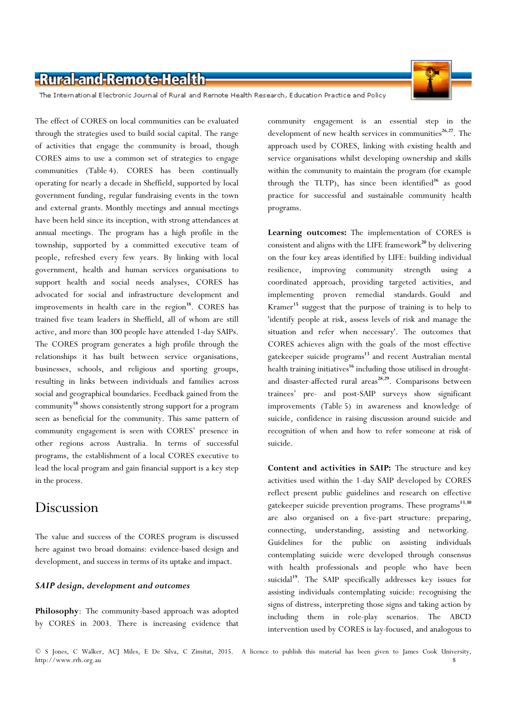

The International Electronic Journal of Rural and Remote Health Research, Education Practice and Policy

The effect of CORES on local communities can be evaluated through the strategies used to build social capital. The range of activities that engage the community is broad, though CORES aims to use a common set of strategies to engage communities (Table 4). CORES has been continually operating for nearly a decade in Sheffield, supported by local government funding, regular fundraising events in the town and external grants. Monthly meetings and annual meetings have been held since its inception, with strong attendances at annual meetings. The program has a high profile in the township, supported by a committed executive team of people, refreshed every few years. By linking with local government, health and human services organisations to support health and social needs analyses, CORES has advocated for social and infrastructure development and improvements in health care in the region $18$ . CORES has trained five team leaders in Sheffield, all of whom are still active, and more than 300 people have attended 1-day SAIPs. The CORES program generates a high profile through the relationships it has built between service organisations, businesses, schools, and religious and sporting groups, resulting in links between individuals and families across social and geographical boundaries. Feedback gained from the community<sup>18</sup> shows consistently strong support for a program seen as beneficial for the community. This same pattern of community engagement is seen with CORES' presence in other regions across Australia. In terms of successful programs, the establishment of a local CORES executive to lead the local program and gain financial support is a key step in the process.

### Discussion

The value and success of the CORES program is discussed here against two broad domains: evidence-based design and development, and success in terms of its uptake and impact.

#### SAIP design, development and outcomes

Philosophy: The community-based approach was adopted by CORES in 2003. There is increasing evidence that

community engagement is an essential step in the development of new health services in communities<sup>26,27</sup>. The approach used by CORES, linking with existing health and service organisations whilst developing ownership and skills within the community to maintain the program (for example through the TLTP), has since been identified<sup>16</sup> as good practice for successful and sustainable community health programs.

Learning outcomes: The implementation of CORES is consistent and aligns with the LIFE framework<sup>20</sup> by delivering on the four key areas identified by LIFE: building individual resilience, improving community strength using a coordinated approach, providing targeted activities, and implementing proven remedial standards. Gould and Kramer<sup>15</sup> suggest that the purpose of training is to help to 'identify people at risk, assess levels of risk and manage the situation and refer when necessary'. The outcomes that CORES achieves align with the goals of the most effective gatekeeper suicide programs<sup>13</sup> and recent Australian mental health training initiatives<sup>16</sup> including those utilised in droughtand disaster-affected rural areas<sup>28,29</sup>. Comparisons between trainees' pre- and post-SAIP surveys show significant improvements (Table 5) in awareness and knowledge of suicide, confidence in raising discussion around suicide and recognition of when and how to refer someone at risk of suicide.

Content and activities in SAIP: The structure and key activities used within the 1-day SAIP developed by CORES reflect present public guidelines and research on effective gatekeeper suicide prevention programs. These programs<sup>13,30</sup> are also organised on a five-part structure: preparing, connecting, understanding, assisting and networking. Guidelines for the public on assisting individuals contemplating suicide were developed through consensus with health professionals and people who have been suicidal<sup>19</sup>. The SAIP specifically addresses key issues for assisting individuals contemplating suicide: recognising the signs of distress, interpreting those signs and taking action by including them in role-play scenarios. The ABCD intervention used by CORES is lay-focused, and analogous to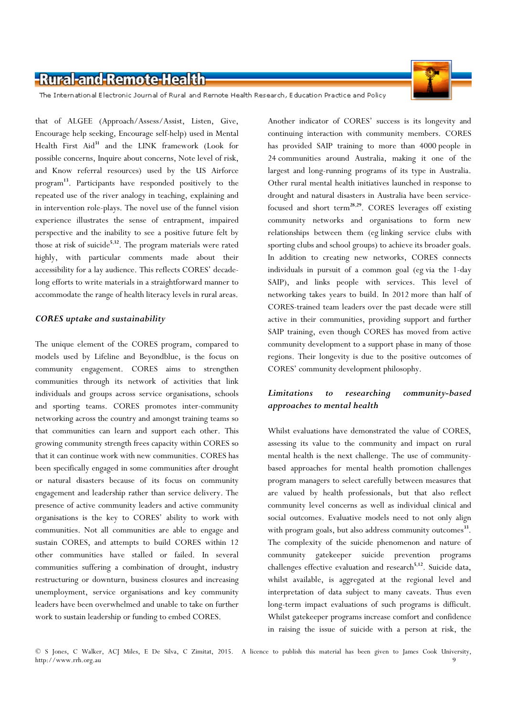

The International Electronic Journal of Rural and Remote Health Research, Education Practice and Policy

that of ALGEE (Approach/Assess/Assist, Listen, Give, Encourage help seeking, Encourage self-help) used in Mental Health First Aid<sup>31</sup> and the LINK framework (Look for possible concerns, Inquire about concerns, Note level of risk, and Know referral resources) used by the US Airforce program <sup>13</sup>. Participants have responded positively to the repeated use of the river analogy in teaching, explaining and in intervention role-plays. The novel use of the funnel vision experience illustrates the sense of entrapment, impaired perspective and the inability to see a positive future felt by those at risk of suicide<sup>5,32</sup>. The program materials were rated highly, with particular comments made about their accessibility for a lay audience. This reflects CORES' decadelong efforts to write materials in a straightforward manner to accommodate the range of health literacy levels in rural areas.

#### CORES uptake and sustainability

The unique element of the CORES program, compared to models used by Lifeline and Beyondblue, is the focus on community engagement. CORES aims to strengthen communities through its network of activities that link individuals and groups across service organisations, schools and sporting teams. CORES promotes inter-community networking across the country and amongst training teams so that communities can learn and support each other. This growing community strength frees capacity within CORES so that it can continue work with new communities. CORES has been specifically engaged in some communities after drought or natural disasters because of its focus on community engagement and leadership rather than service delivery. The presence of active community leaders and active community organisations is the key to CORES' ability to work with communities. Not all communities are able to engage and sustain CORES, and attempts to build CORES within 12 other communities have stalled or failed. In several communities suffering a combination of drought, industry restructuring or downturn, business closures and increasing unemployment, service organisations and key community leaders have been overwhelmed and unable to take on further work to sustain leadership or funding to embed CORES.

Another indicator of CORES' success is its longevity and continuing interaction with community members. CORES has provided SAIP training to more than 4000 people in 24 communities around Australia, making it one of the largest and long-running programs of its type in Australia. Other rural mental health initiatives launched in response to drought and natural disasters in Australia have been servicefocused and short term<sup>28,29</sup>. CORES leverages off existing community networks and organisations to form new relationships between them (eg linking service clubs with sporting clubs and school groups) to achieve its broader goals. In addition to creating new networks, CORES connects individuals in pursuit of a common goal (eg via the 1-day SAIP), and links people with services. This level of networking takes years to build. In 2012 more than half of CORES-trained team leaders over the past decade were still active in their communities, providing support and further SAIP training, even though CORES has moved from active community development to a support phase in many of those regions. Their longevity is due to the positive outcomes of CORES' community development philosophy.

### Limitations to researching community-based approaches to mental health

Whilst evaluations have demonstrated the value of CORES, assessing its value to the community and impact on rural mental health is the next challenge. The use of communitybased approaches for mental health promotion challenges program managers to select carefully between measures that are valued by health professionals, but that also reflect community level concerns as well as individual clinical and social outcomes. Evaluative models need to not only align with program goals, but also address community outcomes<sup>33</sup>. The complexity of the suicide phenomenon and nature of community gatekeeper suicide prevention programs challenges effective evaluation and research<sup>5,12</sup>. Suicide data, whilst available, is aggregated at the regional level and interpretation of data subject to many caveats. Thus even long-term impact evaluations of such programs is difficult. Whilst gatekeeper programs increase comfort and confidence in raising the issue of suicide with a person at risk, the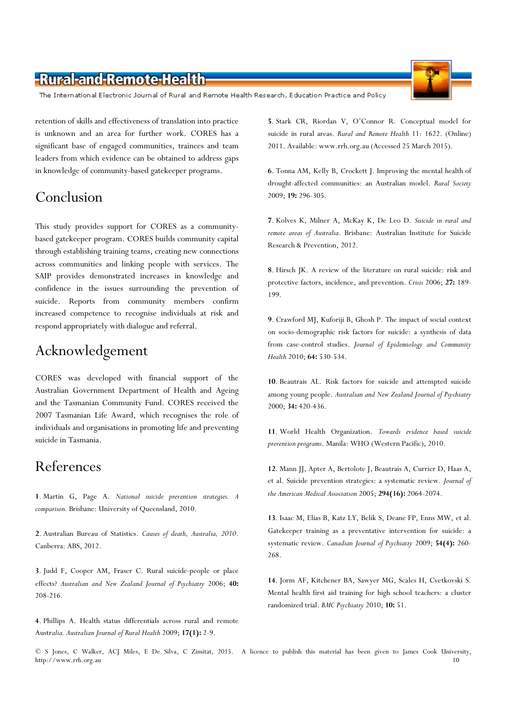The International Electronic Journal of Rural and Remote Health Research, Education Practice and Policy

retention of skills and effectiveness of translation into practice is unknown and an area for further work. CORES has a significant base of engaged communities, trainees and team leaders from which evidence can be obtained to address gaps in knowledge of community-based gatekeeper programs.

## Conclusion

This study provides support for CORES as a communitybased gatekeeper program. CORES builds community capital through establishing training teams, creating new connections across communities and linking people with services. The SAIP provides demonstrated increases in knowledge and confidence in the issues surrounding the prevention of suicide. Reports from community members confirm increased competence to recognise individuals at risk and respond appropriately with dialogue and referral.

## Acknowledgement

CORES was developed with financial support of the Australian Government Department of Health and Ageing and the Tasmanian Community Fund. CORES received the 2007 Tasmanian Life Award, which recognises the role of individuals and organisations in promoting life and preventing suicide in Tasmania.

### References

1. Martin G, Page A. National suicide prevention strategies. A comparison. Brisbane: University of Queensland, 2010.

2. Australian Bureau of Statistics. Causes of death, Australia, 2010. Canberra: ABS, 2012.

3. Judd F, Cooper AM, Fraser C. Rural suicide-people or place effects? Australian and New Zealand Journal of Psychiatry 2006; 40: 208-216.

4. Phillips A. Health status differentials across rural and remote Australia. Australian Journal of Rural Health 2009; 17(1): 2-9.

5. Stark CR, Riordan V, O'Connor R. Conceptual model for suicide in rural areas. Rural and Remote Health 11: 1622. (Online) 2011. Available: www.rrh.org.au (Accessed 25 March 2015).

6. Tonna AM, Kelly B, Crockett J. Improving the mental health of drought-affected communities: an Australian model. Rural Society 2009; 19: 296-305.

7. Kolves K, Milner A, McKay K, De Leo D. Suicide in rural and remote areas of Australia. Brisbane: Australian Institute for Suicide Research & Prevention, 2012.

8. Hirsch JK. A review of the literature on rural suicide: risk and protective factors, incidence, and prevention. Crisis 2006; 27: 189-199.

9. Crawford MJ, Kuforiji B, Ghosh P. The impact of social context on socio-demographic risk factors for suicide: a synthesis of data from case-control studies. Journal of Epidemiology and Community Health 2010; 64: 530-534.

10. Beautrais AL. Risk factors for suicide and attempted suicide among young people. Australian and New Zealand Journal of Psychiatry 2000; 34: 420-436.

11. World Health Organization. Towards evidence based suicide prevention programs. Manila: WHO (Western Pacific), 2010.

12. Mann JJ, Apter A, Bertolote J, Beautrais A, Currier D, Haas A, et al. Suicide prevention strategies: a systematic review. Journal of the American Medical Association 2005; 294(16): 2064-2074.

13. Isaac M, Elias B, Katz LY, Belik S, Deane FP, Enns MW, et al. Gatekeeper training as a preventative intervention for suicide: a systematic review. Canadian Journal of Psychiatry 2009; 54(4): 260- 268.

14. Jorm AF, Kitchener BA, Sawyer MG, Scales H, Cvetkovski S. Mental health first aid training for high school teachers: a cluster randomized trial. BMC Psychiatry 2010; 10: 51.